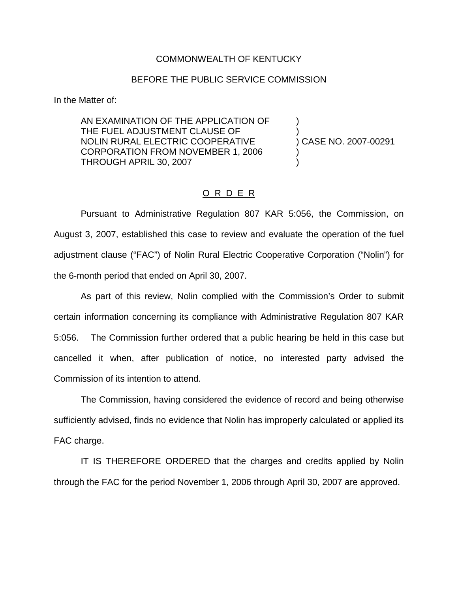## COMMONWEALTH OF KENTUCKY

## BEFORE THE PUBLIC SERVICE COMMISSION

In the Matter of:

AN EXAMINATION OF THE APPLICATION OF ) THE FUEL ADJUSTMENT CLAUSE OF NOLIN RURAL ELECTRIC COOPERATIVE ) CASE NO. 2007-00291 CORPORATION FROM NOVEMBER 1, 2006 ) THROUGH APRIL 30, 2007 )

## O R D E R

Pursuant to Administrative Regulation 807 KAR 5:056, the Commission, on August 3, 2007, established this case to review and evaluate the operation of the fuel adjustment clause ("FAC") of Nolin Rural Electric Cooperative Corporation ("Nolin") for the 6-month period that ended on April 30, 2007.

As part of this review, Nolin complied with the Commission's Order to submit certain information concerning its compliance with Administrative Regulation 807 KAR 5:056. The Commission further ordered that a public hearing be held in this case but cancelled it when, after publication of notice, no interested party advised the Commission of its intention to attend.

The Commission, having considered the evidence of record and being otherwise sufficiently advised, finds no evidence that Nolin has improperly calculated or applied its FAC charge.

IT IS THEREFORE ORDERED that the charges and credits applied by Nolin through the FAC for the period November 1, 2006 through April 30, 2007 are approved.